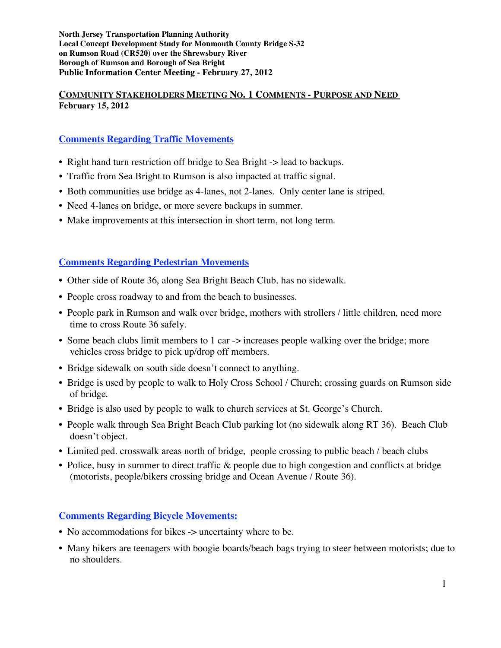**North Jersey Transportation Planning Authority Local Concept Development Study for Monmouth County Bridge S-32 on Rumson Road (CR520) over the Shrewsbury River Borough of Rumson and Borough of Sea Bright Public Information Center Meeting - February 27, 2012**

### **COMMUNITY STAKEHOLDERS MEETING NO. 1 COMMENTS - PURPOSE AND NEED February 15, 2012**

# **Comments Regarding Traffic Movements**

- Right hand turn restriction off bridge to Sea Bright -> lead to backups.
- *•* Traffic from Sea Bright to Rumson is also impacted at traffic signal.
- *•* Both communities use bridge as 4-lanes, not 2-lanes. Only center lane is striped.
- Need 4-lanes on bridge, or more severe backups in summer.
- *•* Make improvements at this intersection in short term, not long term.

#### **Comments Regarding Pedestrian Movements**

- Other side of Route 36, along Sea Bright Beach Club, has no sidewalk.
- People cross roadway to and from the beach to businesses.
- People park in Rumson and walk over bridge, mothers with strollers / little children, need more time to cross Route 36 safely.
- Some beach clubs limit members to 1 car -> increases people walking over the bridge; more vehicles cross bridge to pick up/drop off members.
- Bridge sidewalk on south side doesn't connect to anything.
- Bridge is used by people to walk to Holy Cross School / Church; crossing guards on Rumson side of bridge.
- Bridge is also used by people to walk to church services at St. George's Church.
- People walk through Sea Bright Beach Club parking lot (no sidewalk along RT 36). Beach Club doesn't object.
- Limited ped. crosswalk areas north of bridge, people crossing to public beach / beach clubs
- Police, busy in summer to direct traffic & people due to high congestion and conflicts at bridge (motorists, people/bikers crossing bridge and Ocean Avenue / Route 36).

## **Comments Regarding Bicycle Movements:**

- No accommodations for bikes -> uncertainty where to be.
- Many bikers are teenagers with boogie boards/beach bags trying to steer between motorists; due to no shoulders.